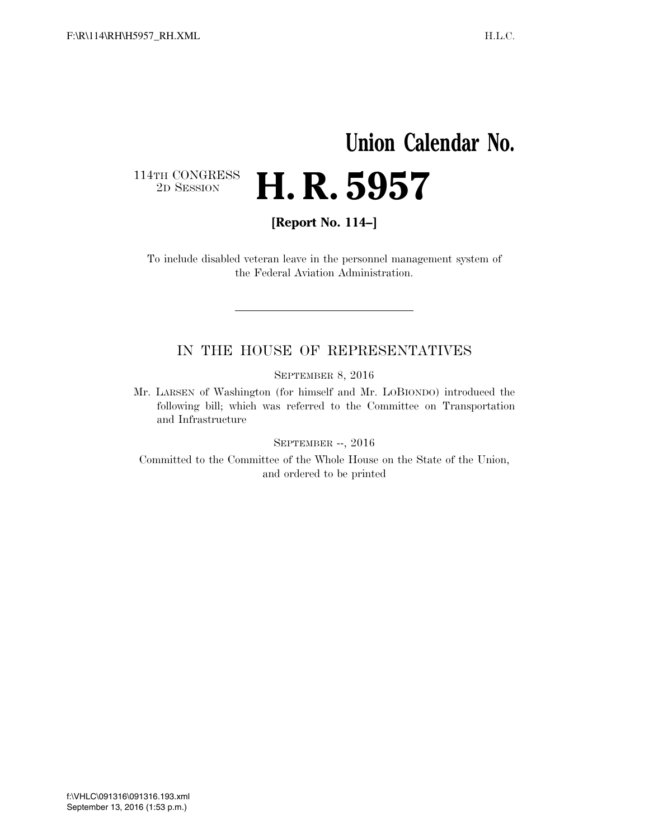## **Union Calendar No.**   $\begin{array}{c} \textbf{114TH CONGRESS} \\ \textbf{2D} \textbf{Session} \end{array}$ 2D SESSION **H. R. 5957**

**[Report No. 114–]** 

To include disabled veteran leave in the personnel management system of the Federal Aviation Administration.

## IN THE HOUSE OF REPRESENTATIVES

SEPTEMBER 8, 2016

Mr. LARSEN of Washington (for himself and Mr. LOBIONDO) introduced the following bill; which was referred to the Committee on Transportation and Infrastructure

SEPTEMBER --, 2016

Committed to the Committee of the Whole House on the State of the Union, and ordered to be printed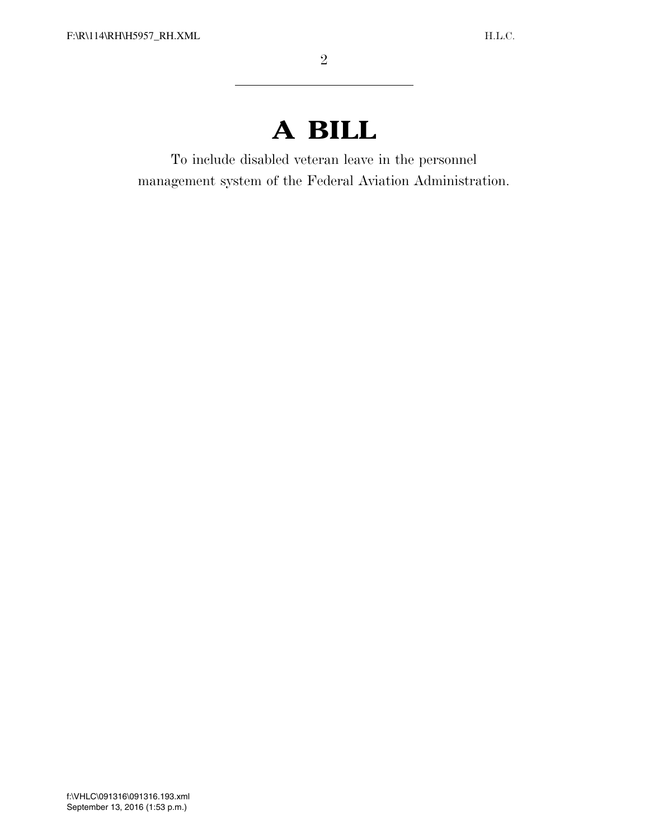## **A BILL**

To include disabled veteran leave in the personnel management system of the Federal Aviation Administration.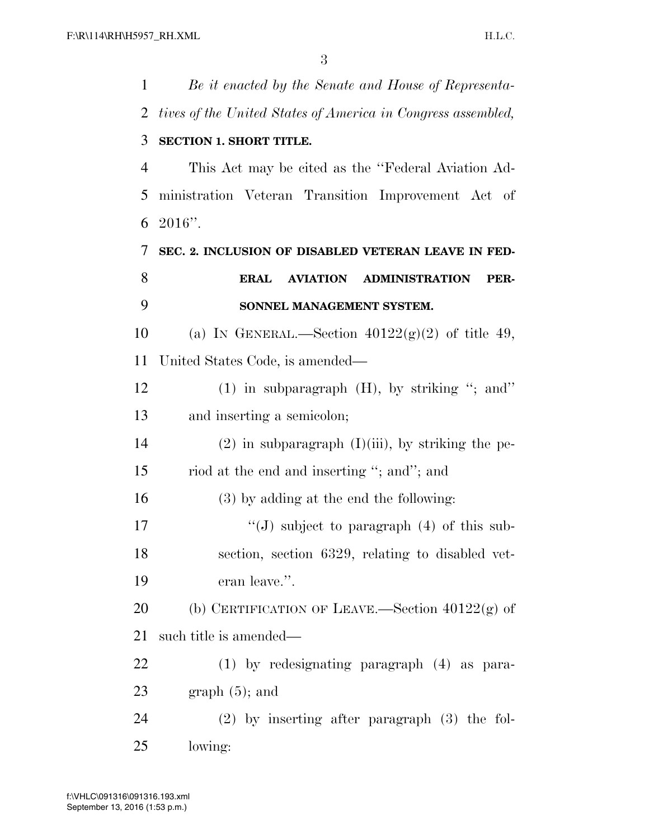| 1  | Be it enacted by the Senate and House of Representa-         |
|----|--------------------------------------------------------------|
| 2  | tives of the United States of America in Congress assembled, |
| 3  | SECTION 1. SHORT TITLE.                                      |
| 4  | This Act may be cited as the "Federal Aviation Ad-           |
| 5  | ministration Veteran Transition Improvement Act of           |
| 6  | $2016"$ .                                                    |
| 7  | SEC. 2. INCLUSION OF DISABLED VETERAN LEAVE IN FED-          |
| 8  | <b>ERAL</b><br><b>AVIATION ADMINISTRATION</b><br>PER-        |
| 9  | SONNEL MANAGEMENT SYSTEM.                                    |
| 10 | (a) IN GENERAL.—Section $40122(g)(2)$ of title 49,           |
| 11 | United States Code, is amended—                              |
| 12 | $(1)$ in subparagraph $(H)$ , by striking "; and"            |
| 13 | and inserting a semicolon;                                   |
| 14 | $(2)$ in subparagraph $(I)(iii)$ , by striking the pe-       |
| 15 | riod at the end and inserting "; and"; and                   |
| 16 | $(3)$ by adding at the end the following:                    |
| 17 | "(J) subject to paragraph $(4)$ of this sub-                 |
| 18 | section, section 6329, relating to disabled vet-             |
| 19 | eran leave.".                                                |
| 20 |                                                              |
|    | (b) CERTIFICATION OF LEAVE.—Section $40122(g)$ of            |
| 21 | such title is amended—                                       |
| 22 | $(1)$ by redesignating paragraph $(4)$ as para-              |
| 23 | $graph(5)$ ; and                                             |
| 24 | $(2)$ by inserting after paragraph $(3)$ the fol-            |